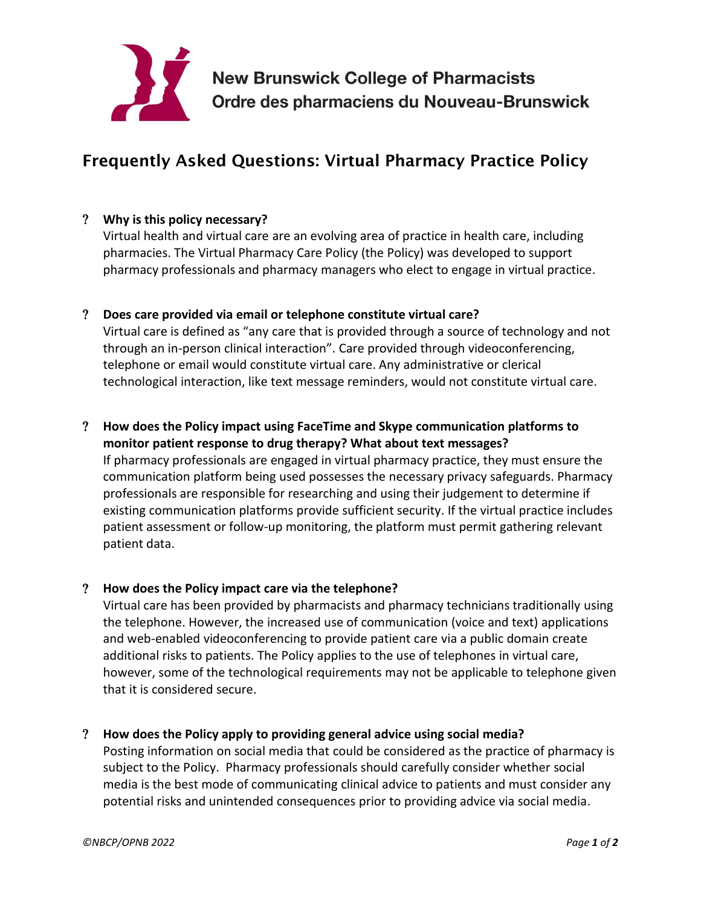

**New Brunswick College of Pharmacists** Ordre des pharmaciens du Nouveau-Brunswick

# Frequently Asked Questions: Virtual Pharmacy Practice Policy

## **Why is this policy necessary?**

Virtual health and virtual care are an evolving area of practice in health care, including pharmacies. The Virtual Pharmacy Care Policy (the Policy) was developed to support pharmacy professionals and pharmacy managers who elect to engage in virtual practice.

### **Does care provided via email or telephone constitute virtual care?**

Virtual care is defined as "any care that is provided through a source of technology and not through an in-person clinical interaction". Care provided through videoconferencing, telephone or email would constitute virtual care. Any administrative or clerical technological interaction, like text message reminders, would not constitute virtual care.

#### **How does the Policy impact using FaceTime and Skype communication platforms to monitor patient response to drug therapy? What about text messages?**

If pharmacy professionals are engaged in virtual pharmacy practice, they must ensure the communication platform being used possesses the necessary privacy safeguards. Pharmacy professionals are responsible for researching and using their judgement to determine if existing communication platforms provide sufficient security. If the virtual practice includes patient assessment or follow-up monitoring, the platform must permit gathering relevant patient data.

### **How does the Policy impact care via the telephone?**

Virtual care has been provided by pharmacists and pharmacy technicians traditionally using the telephone. However, the increased use of communication (voice and text) applications and web-enabled videoconferencing to provide patient care via a public domain create additional risks to patients. The Policy applies to the use of telephones in virtual care, however, some of the technological requirements may not be applicable to telephone given that it is considered secure.

### **How does the Policy apply to providing general advice using social media?**

Posting information on social media that could be considered as the practice of pharmacy is subject to the Policy. Pharmacy professionals should carefully consider whether social media is the best mode of communicating clinical advice to patients and must consider any potential risks and unintended consequences prior to providing advice via social media.